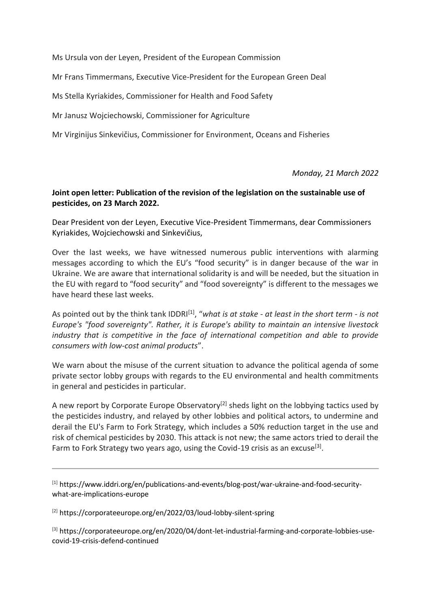Ms Ursula von der Leyen, President of the European Commission

Mr Frans Timmermans, Executive Vice-President for the European Green Deal

Ms Stella Kyriakides, Commissioner for Health and Food Safety

Mr Janusz Wojciechowski, Commissioner for Agriculture

Mr Virginijus Sinkevičius, Commissioner for Environment, Oceans and Fisheries

*Monday, 21 March 2022*

#### **Joint open letter: Publication of the revision of the legislation on the sustainable use of pesticides, on 23 March 2022.**

Dear President von der Leyen, Executive Vice-President Timmermans, dear Commissioners Kyriakides, Wojciechowski and Sinkevičius,

Over the last weeks, we have witnessed numerous public interventions with alarming messages according to which the EU's "food security" is in danger because of the war in Ukraine. We are aware that international solidarity is and will be needed, but the situation in the EU with regard to "food security" and "food sovereignty" is different to the messages we have heard these last weeks.

As pointed out by the think tank IDDRI[1], "*what is at stake - at least in the short term - is not Europe's "food sovereignty". Rather, it is Europe's ability to maintain an intensive livestock industry that is competitive in the face of international competition and able to provide consumers with low-cost animal products*".

We warn about the misuse of the current situation to advance the political agenda of some private sector lobby groups with regards to the EU environmental and health commitments in general and pesticides in particular.

A new report by Corporate Europe Observatory<sup>[2]</sup> sheds light on the lobbying tactics used by the pesticides industry, and relayed by other lobbies and political actors, to undermine and derail the EU's Farm to Fork Strategy, which includes a 50% reduction target in the use and risk of chemical pesticides by 2030. This attack is not new; the same actors tried to derail the Farm to Fork Strategy two years ago, using the Covid-19 crisis as an excuse<sup>[3]</sup>.

 $[1]$  https://www.iddri.org/en/publications-and-events/blog-post/war-ukraine-and-food-securitywhat-are-implications-europe

[2] https://corporateeurope.org/en/2022/03/loud-lobby-silent-spring

[3] https://corporateeurope.org/en/2020/04/dont-let-industrial-farming-and-corporate-lobbies-usecovid-19-crisis-defend-continued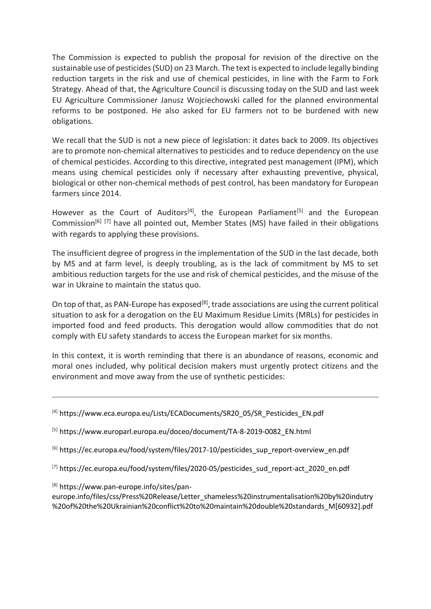The Commission is expected to publish the proposal for revision of the directive on the sustainable use of pesticides (SUD) on 23 March. The text is expected to include legally binding reduction targets in the risk and use of chemical pesticides, in line with the Farm to Fork Strategy. Ahead of that, the Agriculture Council is discussing today on the SUD and last week EU Agriculture Commissioner Janusz Wojciechowski called for the planned environmental reforms to be postponed. He also asked for EU farmers not to be burdened with new obligations.

We recall that the SUD is not a new piece of legislation: it dates back to 2009. Its objectives are to promote non-chemical alternatives to pesticides and to reduce dependency on the use of chemical pesticides. According to this directive, integrated pest management (IPM), which means using chemical pesticides only if necessary after exhausting preventive, physical, biological or other non-chemical methods of pest control, has been mandatory for European farmers since 2014.

However as the Court of Auditors<sup>[4]</sup>, the European Parliament<sup>[5]</sup> and the European Commission<sup>[6] [7]</sup> have all pointed out, Member States (MS) have failed in their obligations with regards to applying these provisions.

The insufficient degree of progress in the implementation of the SUD in the last decade, both by MS and at farm level, is deeply troubling, as is the lack of commitment by MS to set ambitious reduction targets for the use and risk of chemical pesticides, and the misuse of the war in Ukraine to maintain the status quo.

On top of that, as PAN-Europe has exposed<sup>[8]</sup>, trade associations are using the current political situation to ask for a derogation on the EU Maximum Residue Limits (MRLs) for pesticides in imported food and feed products. This derogation would allow commodities that do not comply with EU safety standards to access the European market for six months.

In this context, it is worth reminding that there is an abundance of reasons, economic and moral ones included, why political decision makers must urgently protect citizens and the environment and move away from the use of synthetic pesticides:

[8] https://www.pan-europe.info/sites/pan-

europe.info/files/css/Press%20Release/Letter\_shameless%20instrumentalisation%20by%20indutry %20of%20the%20Ukrainian%20conflict%20to%20maintain%20double%20standards\_M[60932].pdf

<sup>[4]</sup> https://www.eca.europa.eu/Lists/ECADocuments/SR20\_05/SR\_Pesticides\_EN.pdf

<sup>[5]</sup> https://www.europarl.europa.eu/doceo/document/TA-8-2019-0082\_EN.html

<sup>[6]</sup> https://ec.europa.eu/food/system/files/2017-10/pesticides\_sup\_report-overview\_en.pdf

<sup>[7]</sup> https://ec.europa.eu/food/system/files/2020-05/pesticides\_sud\_report-act\_2020\_en.pdf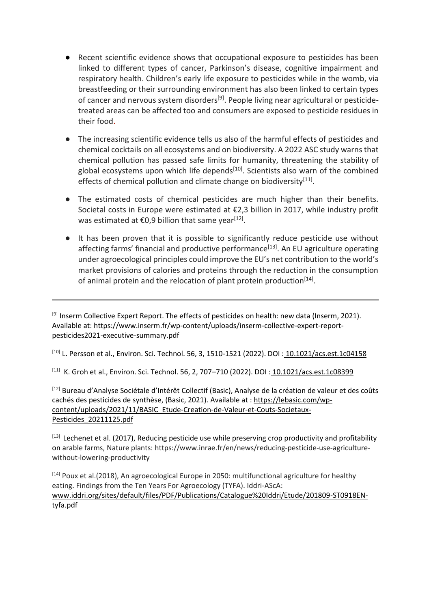- Recent scientific evidence shows that occupational exposure to pesticides has been linked to different types of cancer, Parkinson's disease, cognitive impairment and respiratory health. Children's early life exposure to pesticides while in the womb, via breastfeeding or their surrounding environment has also been linked to certain types of cancer and nervous system disorders<sup>[9]</sup>. People living near agricultural or pesticidetreated areas can be affected too and consumers are exposed to pesticide residues in their food.
- The increasing scientific evidence tells us also of the harmful effects of pesticides and chemical cocktails on all ecosystems and on biodiversity. A 2022 ASC study warns that chemical pollution has passed safe limits for humanity, threatening the stability of global ecosystems upon which life depends $[10]$ . Scientists also warn of the combined effects of chemical pollution and climate change on biodiversity<sup>[11]</sup>.
- The estimated costs of chemical pesticides are much higher than their benefits. Societal costs in Europe were estimated at €2,3 billion in 2017, while industry profit was estimated at  $€0,9$  billion that same year<sup>[12]</sup>.
- It has been proven that it is possible to significantly reduce pesticide use without affecting farms' financial and productive performance<sup>[13]</sup>. An EU agriculture operating under agroecological principles could improve the EU's net contribution to the world's market provisions of calories and proteins through the reduction in the consumption of animal protein and the relocation of plant protein production<sup>[14]</sup>.

<sup>[9]</sup> Inserm Collective Expert Report. The effects of pesticides on health: new data (Inserm, 2021). Available at: https://www.inserm.fr/wp-content/uploads/inserm-collective-expert-reportpesticides2021-executive-summary.pdf

[10] L. Persson et al., Environ. Sci. Technol. 56, 3, 1510-1521 (2022). DOI: [10.1021/acs.est.1c04158](https://doi.org/10.1021/acs.est.1c04158)

<sup>[11]</sup> K. Groh et al., Environ. Sci. Technol. 56, 2, 707–710 (2022). DOI : <u>[10.1021/acs.est.1c08399](https://doi.org/10.1021/acs.est.1c08399)</u>

[12] Bureau d'Analyse Sociétale d'Intérêt Collectif (Basic), Analyse de la création de valeur et des coûts cachés des pesticides de synthèse, (Basic, 2021). Available at [:](https://lebasic.com/wp-content/uploads/2021/11/BASIC_Etude-Creation-de-Valeur-et-Couts-Societaux-Pesticides_20211125.pdf) [https://lebasic.com/wp](https://lebasic.com/wp-content/uploads/2021/11/BASIC_Etude-Creation-de-Valeur-et-Couts-Societaux-Pesticides_20211125.pdf)[content/uploads/2021/11/BASIC\\_Etude-Creation-de-Valeur-et-Couts-Societaux-](https://lebasic.com/wp-content/uploads/2021/11/BASIC_Etude-Creation-de-Valeur-et-Couts-Societaux-Pesticides_20211125.pdf)[Pesticides\\_20211125.pdf](https://lebasic.com/wp-content/uploads/2021/11/BASIC_Etude-Creation-de-Valeur-et-Couts-Societaux-Pesticides_20211125.pdf)

 $[13]$  Lechenet et al. (2017), Reducing pesticide use while preserving crop productivity and profitability on arable farms, Nature plants: https://www.inrae.fr/en/news/reducing-pesticide-use-agriculturewithout-lowering-productivity

[14] Poux et al.(2018), An agroecological Europe in 2050: multifunctional agriculture for healthy eating. Findings from the Ten Years For Agroecology (TYFA). Iddri-AScA: [www.iddri.org/sites/default/files/PDF/Publications/Catalogue%20Iddri/Etude/201809-ST0918EN](http://www.iddri.org/sites/default/files/PDF/Publications/Catalogue%20Iddri/Etude/201809-ST0918EN-tyfa.pdf)[tyfa.pdf](http://www.iddri.org/sites/default/files/PDF/Publications/Catalogue%20Iddri/Etude/201809-ST0918EN-tyfa.pdf)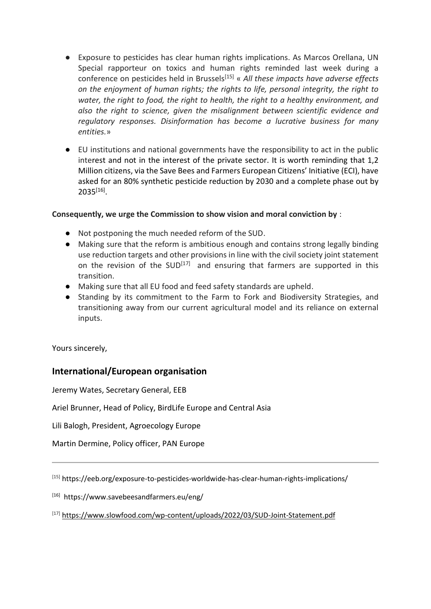- Exposure to pesticides has clear human rights implications. As Marcos Orellana, UN Special rapporteur on toxics and human rights reminded last week during a conference on pesticides held in Brussels[15] « *All these impacts have adverse effects on the enjoyment of human rights; the rights to life, personal integrity, the right to water, the right to food, the right to health, the right to a healthy environment, and also the right to science, given the misalignment between scientific evidence and regulatory responses. Disinformation has become a lucrative business for many entities.*»
- EU institutions and national governments have the responsibility to act in the public interest and not in the interest of the private sector. It is worth reminding that 1,2 Million citizens, via the Save Bees and Farmers European Citizens' Initiative (ECI), have asked for an 80% synthetic pesticide reduction by 2030 and a complete phase out by  $2035^{[16]}$ .

### **Consequently, we urge the Commission to show vision and moral conviction by** :

- Not postponing the much needed reform of the SUD.
- Making sure that the reform is ambitious enough and contains strong legally binding use reduction targets and other provisions in line with the civil society joint statement on the revision of the  $SUB^{[17]}$  and ensuring that farmers are supported in this transition.
- Making sure that all EU food and feed safety standards are upheld.
- Standing by its commitment to the Farm to Fork and Biodiversity Strategies, and transitioning away from our current agricultural model and its reliance on external inputs.

Yours sincerely,

# **International/European organisation**

Jeremy Wates, Secretary General, EEB

Ariel Brunner, Head of Policy, BirdLife Europe and Central Asia

Lili Balogh, President, Agroecology Europe

Martin Dermine, Policy officer, PAN Europe

[15] https://eeb.org/exposure-to-pesticides-worldwide-has-clear-human-rights-implications/

[16] https://www.savebeesandfarmers.eu/eng/

[17] <https://www.slowfood.com/wp-content/uploads/2022/03/SUD-Joint-Statement.pdf>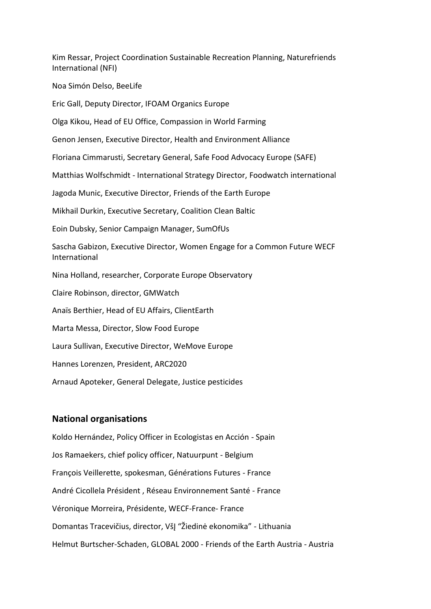Kim Ressar, Project Coordination Sustainable Recreation Planning, Naturefriends International (NFI)

Noa Simón Delso, BeeLife

Eric Gall, Deputy Director, IFOAM Organics Europe

Olga Kikou, Head of EU Office, Compassion in World Farming

Genon Jensen, Executive Director, Health and Environment Alliance

Floriana Cimmarusti, Secretary General, Safe Food Advocacy Europe (SAFE)

Matthias Wolfschmidt - International Strategy Director, Foodwatch international

Jagoda Munic, Executive Director, Friends of the Earth Europe

Mikhail Durkin, Executive Secretary, Coalition Clean Baltic

Eoin Dubsky, Senior Campaign Manager, SumOfUs

Sascha Gabizon, Executive Director, Women Engage for a Common Future WECF International

Nina Holland, researcher, Corporate Europe Observatory

Claire Robinson, director, GMWatch

Anaïs Berthier, Head of EU Affairs, ClientEarth

Marta Messa, Director, Slow Food Europe

Laura Sullivan, Executive Director, WeMove Europe

Hannes Lorenzen, President, ARC2020

Arnaud Apoteker, General Delegate, Justice pesticides

#### **National organisations**

Koldo Hernández, Policy Officer in Ecologistas en Acción - Spain Jos Ramaekers, chief policy officer, Natuurpunt - Belgium François Veillerette, spokesman, Générations Futures - France André Cicollela Président , Réseau Environnement Santé - France Véronique Morreira, Présidente, WECF-France- France Domantas Tracevičius, director, VšĮ "Žiedinė ekonomika" - Lithuania Helmut Burtscher-Schaden, GLOBAL 2000 - Friends of the Earth Austria - Austria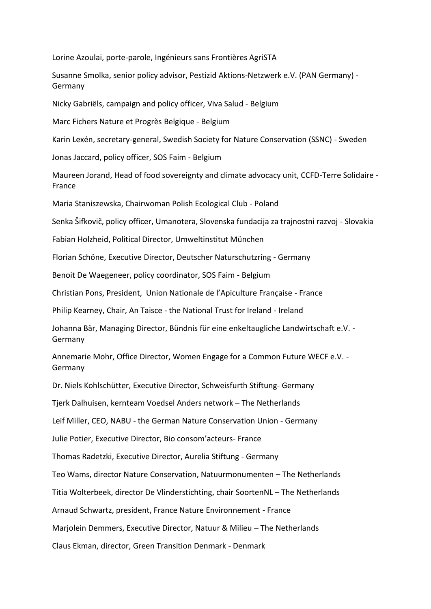Lorine Azoulai, porte-parole, Ingénieurs sans Frontières AgriSTA

Susanne Smolka, senior policy advisor, Pestizid Aktions-Netzwerk e.V. (PAN Germany) - Germany

Nicky Gabriëls, campaign and policy officer, Viva Salud - Belgium

Marc Fichers Nature et Progrès Belgique - Belgium

Karin Lexén, secretary-general, Swedish Society for Nature Conservation (SSNC) - Sweden

Jonas Jaccard, policy officer, SOS Faim - Belgium

Maureen Jorand, Head of food sovereignty and climate advocacy unit, CCFD-Terre Solidaire - France

Maria Staniszewska, Chairwoman Polish Ecological Club - Poland

Senka Šifkovič, policy officer, Umanotera, Slovenska fundacija za trajnostni razvoj - Slovakia

Fabian Holzheid, Political Director, Umweltinstitut München

Florian Schöne, Executive Director, Deutscher Naturschutzring - Germany

Benoit De Waegeneer, policy coordinator, SOS Faim - Belgium

Christian Pons, President, Union Nationale de l'Apiculture Française - France

Philip Kearney, Chair, An Taisce - the National Trust for Ireland - Ireland

Johanna Bär, Managing Director, Bündnis für eine enkeltaugliche Landwirtschaft e.V. - Germany

Annemarie Mohr, Office Director, Women Engage for a Common Future WECF e.V. - Germany

Dr. Niels Kohlschütter, [Executive](https://dict.leo.org/german-english/Executive) [Director,](https://dict.leo.org/german-english/Director) Schweisfurth Stiftung- Germany

Tjerk Dalhuisen, kernteam Voedsel Anders network – The Netherlands

Leif Miller, CEO, NABU - the German Nature Conservation Union - Germany

Julie Potier, Executive Director, Bio consom'acteurs- France

Thomas Radetzki, Executive Director, Aurelia Stiftung - Germany

Teo Wams, director Nature Conservation, Natuurmonumenten – The Netherlands

Titia Wolterbeek, director De Vlinderstichting, chair SoortenNL – The Netherlands

Arnaud Schwartz, president, France Nature Environnement - France

Marjolein Demmers, Executive Director, Natuur & Milieu – The Netherlands

Claus Ekman, director, Green Transition Denmark - Denmark